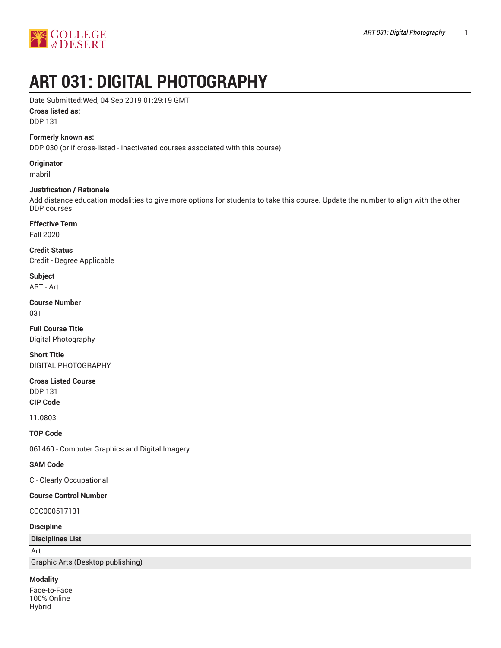

# **ART 031: DIGITAL PHOTOGRAPHY**

Date Submitted:Wed, 04 Sep 2019 01:29:19 GMT

### **Cross listed as:**

DDP 131

### **Formerly known as:**

DDP 030 (or if cross-listed - inactivated courses associated with this course)

**Originator**

mabril

# **Justification / Rationale**

Add distance education modalities to give more options for students to take this course. Update the number to align with the other DDP courses.

### **Effective Term**

Fall 2020

**Credit Status** Credit - Degree Applicable

**Subject** ART - Art

**Course Number**

031

**Full Course Title** Digital Photography

**Short Title** DIGITAL PHOTOGRAPHY

**Cross Listed Course** DDP 131 **CIP Code**

11.0803

**TOP Code**

061460 - Computer Graphics and Digital Imagery

# **SAM Code**

C - Clearly Occupational

### **Course Control Number**

CCC000517131

**Discipline**

**Disciplines List**

Art

Graphic Arts (Desktop publishing)

### **Modality**

Face-to-Face 100% Online Hybrid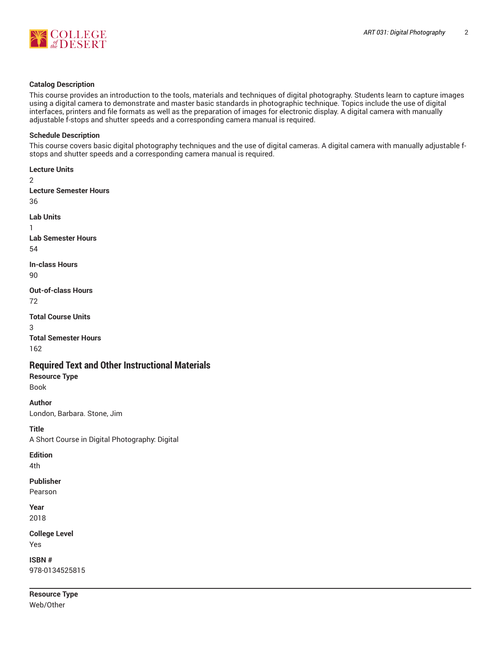



### **Catalog Description**

This course provides an introduction to the tools, materials and techniques of digital photography. Students learn to capture images using a digital camera to demonstrate and master basic standards in photographic technique. Topics include the use of digital interfaces, printers and file formats as well as the preparation of images for electronic display. A digital camera with manually adjustable f-stops and shutter speeds and a corresponding camera manual is required.

### **Schedule Description**

This course covers basic digital photography techniques and the use of digital cameras. A digital camera with manually adjustable fstops and shutter speeds and a corresponding camera manual is required.

```
Lecture Units
\mathfrak{p}Lecture Semester Hours
36
Lab Units
1
Lab Semester Hours
54
In-class Hours
90
Out-of-class Hours
72
Total Course Units
3
Total Semester Hours
162
Required Text and Other Instructional Materials
Resource Type
Book
Author
London, Barbara. Stone, Jim
```
**Title** A Short Course in Digital Photography: Digital

# **Edition**

4th

# **Publisher**

Pearson

```
Year
2018
```
**College Level** Yes

**ISBN #** 978-0134525815

**Resource Type** Web/Other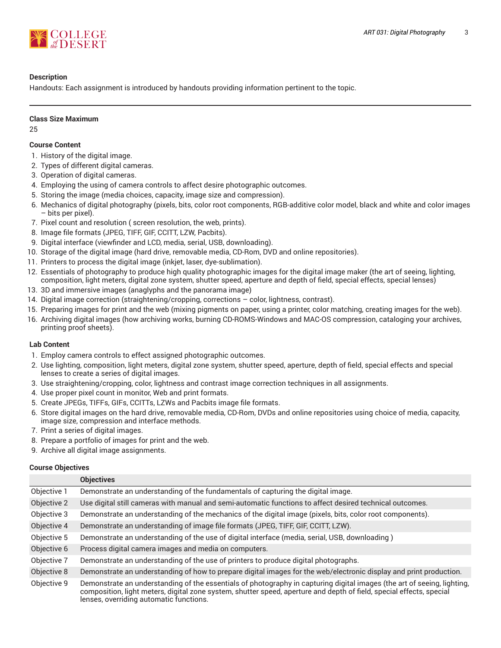

# **Description**

Handouts: Each assignment is introduced by handouts providing information pertinent to the topic.

# **Class Size Maximum**

25

# **Course Content**

- 1. History of the digital image.
- 2. Types of different digital cameras.
- 3. Operation of digital cameras.
- 4. Employing the using of camera controls to affect desire photographic outcomes.
- 5. Storing the image (media choices, capacity, image size and compression).
- 6. Mechanics of digital photography (pixels, bits, color root components, RGB-additive color model, black and white and color images – bits per pixel).
- 7. Pixel count and resolution ( screen resolution, the web, prints).
- 8. Image file formats (JPEG, TIFF, GIF, CCITT, LZW, Pacbits).
- 9. Digital interface (viewfinder and LCD, media, serial, USB, downloading).
- 10. Storage of the digital image (hard drive, removable media, CD-Rom, DVD and online repositories).
- 11. Printers to process the digital image (inkjet, laser, dye-sublimation).
- 12. Essentials of photography to produce high quality photographic images for the digital image maker (the art of seeing, lighting, composition, light meters, digital zone system, shutter speed, aperture and depth of field, special effects, special lenses)
- 13. 3D and immersive images (anaglyphs and the panorama image)
- 14. Digital image correction (straightening/cropping, corrections color, lightness, contrast).
- 15. Preparing images for print and the web (mixing pigments on paper, using a printer, color matching, creating images for the web).
- 16. Archiving digital images (how archiving works, burning CD-ROMS-Windows and MAC-OS compression, cataloging your archives, printing proof sheets).

# **Lab Content**

- 1. Employ camera controls to effect assigned photographic outcomes.
- 2. Use lighting, composition, light meters, digital zone system, shutter speed, aperture, depth of field, special effects and special lenses to create a series of digital images.
- 3. Use straightening/cropping, color, lightness and contrast image correction techniques in all assignments.
- 4. Use proper pixel count in monitor, Web and print formats.
- 5. Create JPEGs, TIFFs, GIFs, CCITTs, LZWs and Pacbits image file formats.
- 6. Store digital images on the hard drive, removable media, CD-Rom, DVDs and online repositories using choice of media, capacity, image size, compression and interface methods.
- 7. Print a series of digital images.
- 8. Prepare a portfolio of images for print and the web.
- 9. Archive all digital image assignments.

# **Course Objectives**

|             | <b>Objectives</b>                                                                                                                                                                                                                                                                          |
|-------------|--------------------------------------------------------------------------------------------------------------------------------------------------------------------------------------------------------------------------------------------------------------------------------------------|
| Objective 1 | Demonstrate an understanding of the fundamentals of capturing the digital image.                                                                                                                                                                                                           |
| Objective 2 | Use digital still cameras with manual and semi-automatic functions to affect desired technical outcomes.                                                                                                                                                                                   |
| Objective 3 | Demonstrate an understanding of the mechanics of the digital image (pixels, bits, color root components).                                                                                                                                                                                  |
| Objective 4 | Demonstrate an understanding of image file formats (JPEG, TIFF, GIF, CCITT, LZW).                                                                                                                                                                                                          |
| Objective 5 | Demonstrate an understanding of the use of digital interface (media, serial, USB, downloading)                                                                                                                                                                                             |
| Objective 6 | Process digital camera images and media on computers.                                                                                                                                                                                                                                      |
| Objective 7 | Demonstrate an understanding of the use of printers to produce digital photographs.                                                                                                                                                                                                        |
| Objective 8 | Demonstrate an understanding of how to prepare digital images for the web/electronic display and print production.                                                                                                                                                                         |
| Objective 9 | Demonstrate an understanding of the essentials of photography in capturing digital images (the art of seeing, lighting,<br>composition, light meters, digital zone system, shutter speed, aperture and depth of field, special effects, special<br>lenses, overriding automatic functions. |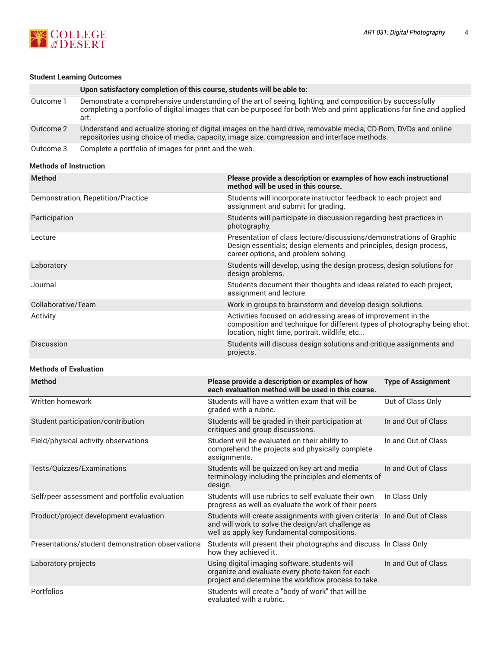

# **Student Learning Outcomes**

|           | Upon satisfactory completion of this course, students will be able to:                                                                                                                                                                      |
|-----------|---------------------------------------------------------------------------------------------------------------------------------------------------------------------------------------------------------------------------------------------|
| Outcome 1 | Demonstrate a comprehensive understanding of the art of seeing, lighting, and composition by successfully<br>completing a portfolio of digital images that can be purposed for both Web and print applications for fine and applied<br>art. |
| Outcome 2 | Understand and actualize storing of digital images on the hard drive, removable media, CD-Rom, DVDs and online<br>repositories using choice of media, capacity, image size, compression and interface methods.                              |
| Outcome 3 | Complete a portfolio of images for print and the web.                                                                                                                                                                                       |

### **Methods of Instruction**

| <b>Method</b>                                    | Please provide a description or examples of how each instructional<br>method will be used in this course.                                                                                 |                           |  |
|--------------------------------------------------|-------------------------------------------------------------------------------------------------------------------------------------------------------------------------------------------|---------------------------|--|
| Demonstration, Repetition/Practice               | Students will incorporate instructor feedback to each project and<br>assignment and submit for grading.                                                                                   |                           |  |
| Participation                                    | Students will participate in discussion regarding best practices in<br>photography.                                                                                                       |                           |  |
| Lecture                                          | Presentation of class lecture/discussions/demonstrations of Graphic<br>Design essentials; design elements and principles, design process,<br>career options, and problem solving.         |                           |  |
| Laboratory                                       | Students will develop, using the design process, design solutions for<br>design problems.                                                                                                 |                           |  |
| Journal                                          | Students document their thoughts and ideas related to each project,<br>assignment and lecture.                                                                                            |                           |  |
| Collaborative/Team                               | Work in groups to brainstorm and develop design solutions.                                                                                                                                |                           |  |
| Activity                                         | Activities focused on addressing areas of improvement in the<br>composition and technique for different types of photography being shot;<br>location, night time, portrait, wildlife, etc |                           |  |
| Discussion                                       | Students will discuss design solutions and critique assignments and<br>projects.                                                                                                          |                           |  |
| <b>Methods of Evaluation</b>                     |                                                                                                                                                                                           |                           |  |
| <b>Method</b>                                    | Please provide a description or examples of how<br>each evaluation method will be used in this course.                                                                                    | <b>Type of Assignment</b> |  |
| Written homework                                 | Students will have a written exam that will be<br>graded with a rubric.                                                                                                                   | Out of Class Only         |  |
| Student participation/contribution               | Students will be graded in their participation at<br>critiques and group discussions.                                                                                                     | In and Out of Class       |  |
| Field/physical activity observations             | Student will be evaluated on their ability to<br>comprehend the projects and physically complete<br>assignments.                                                                          | In and Out of Class       |  |
| Tests/Quizzes/Examinations                       | Students will be quizzed on key art and media<br>terminology including the principles and elements of<br>design.                                                                          | In and Out of Class       |  |
| Self/peer assessment and portfolio evaluation    | Students will use rubrics to self evaluate their own<br>progress as well as evaluate the work of their peers                                                                              | In Class Only             |  |
| Product/project development evaluation           | Students will create assignments with given criteria<br>and will work to solve the design/art challenge as<br>well as apply key fundamental compositions.                                 | In and Out of Class       |  |
| Presentations/student demonstration observations | Students will present their photographs and discuss In Class Only<br>how they achieved it.                                                                                                |                           |  |
| Laboratory projects                              | Using digital imaging software, students will<br>organize and evaluate every photo taken for each<br>project and determine the workflow process to take.                                  | In and Out of Class       |  |
| Portfolios                                       | Students will create a "body of work" that will be<br>evaluated with a rubric.                                                                                                            |                           |  |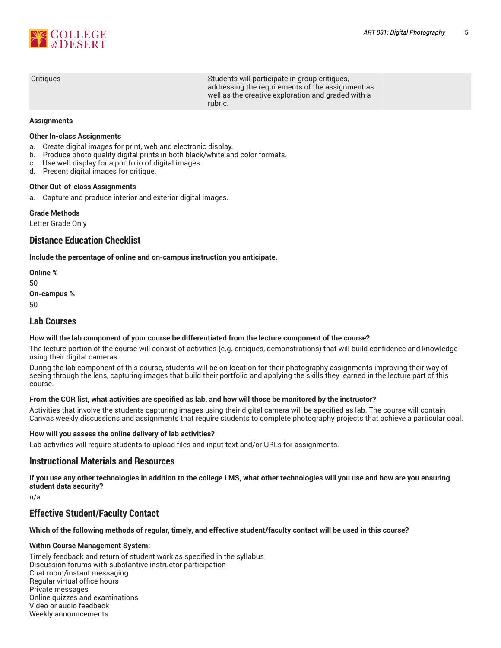

| Critiques | Students will participate in group critiques,<br>addressing the requirements of the assignment as<br>well as the creative exploration and graded with a<br>rubric. |
|-----------|--------------------------------------------------------------------------------------------------------------------------------------------------------------------|
|           |                                                                                                                                                                    |

### **Assignments**

### **Other In-class Assignments**

- a. Create digital images for print, web and electronic display.
- b. Produce photo quality digital prints in both black/white and color formats.
- c. Use web display for a portfolio of digital images.
- d. Present digital images for critique.

# **Other Out-of-class Assignments**

a. Capture and produce interior and exterior digital images.

### **Grade Methods**

Letter Grade Only

# **Distance Education Checklist**

**Include the percentage of online and on-campus instruction you anticipate.**

**Online %** 50 **On-campus %** 50

# **Lab Courses**

### **How will the lab component of your course be differentiated from the lecture component of the course?**

The lecture portion of the course will consist of activities (e.g. critiques, demonstrations) that will build confidence and knowledge using their digital cameras.

During the lab component of this course, students will be on location for their photography assignments improving their way of seeing through the lens, capturing images that build their portfolio and applying the skills they learned in the lecture part of this course.

### From the COR list, what activities are specified as lab, and how will those be monitored by the instructor?

Activities that involve the students capturing images using their digital camera will be specified as lab. The course will contain Canvas weekly discussions and assignments that require students to complete photography projects that achieve a particular goal.

### **How will you assess the online delivery of lab activities?**

Lab activities will require students to upload files and input text and/or URLs for assignments.

# **Instructional Materials and Resources**

If you use any other technologies in addition to the college LMS, what other technologies will you use and how are you ensuring **student data security?**

n/a

# **Effective Student/Faculty Contact**

### Which of the following methods of regular, timely, and effective student/faculty contact will be used in this course?

### **Within Course Management System:**

Timely feedback and return of student work as specified in the syllabus Discussion forums with substantive instructor participation Chat room/instant messaging Regular virtual office hours Private messages Online quizzes and examinations Video or audio feedback Weekly announcements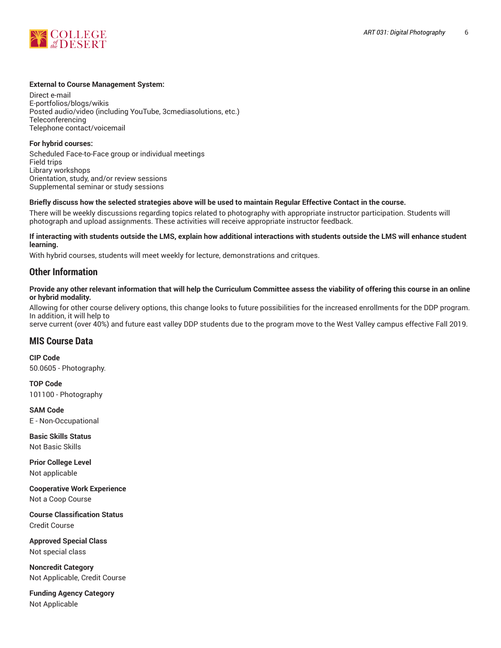

### **External to Course Management System:**

Direct e-mail E-portfolios/blogs/wikis Posted audio/video (including YouTube, 3cmediasolutions, etc.) **Teleconferencing** Telephone contact/voicemail

**For hybrid courses:** Scheduled Face-to-Face group or individual meetings Field trips Library workshops Orientation, study, and/or review sessions Supplemental seminar or study sessions

### Briefly discuss how the selected strategies above will be used to maintain Regular Effective Contact in the course.

There will be weekly discussions regarding topics related to photography with appropriate instructor participation. Students will photograph and upload assignments. These activities will receive appropriate instructor feedback.

#### **If interacting with students outside the LMS, explain how additional interactions with students outside the LMS will enhance student learning.**

With hybrid courses, students will meet weekly for lecture, demonstrations and critques.

# **Other Information**

Provide any other relevant information that will help the Curriculum Committee assess the viability of offering this course in an online **or hybrid modality.**

Allowing for other course delivery options, this change looks to future possibilities for the increased enrollments for the DDP program. In addition, it will help to

serve current (over 40%) and future east valley DDP students due to the program move to the West Valley campus effective Fall 2019.

# **MIS Course Data**

**CIP Code** 50.0605 - Photography.

**TOP Code** 101100 - Photography

**SAM Code** E - Non-Occupational

**Basic Skills Status** Not Basic Skills

**Prior College Level** Not applicable

**Cooperative Work Experience** Not a Coop Course

**Course Classification Status** Credit Course

**Approved Special Class** Not special class

**Noncredit Category** Not Applicable, Credit Course

**Funding Agency Category** Not Applicable